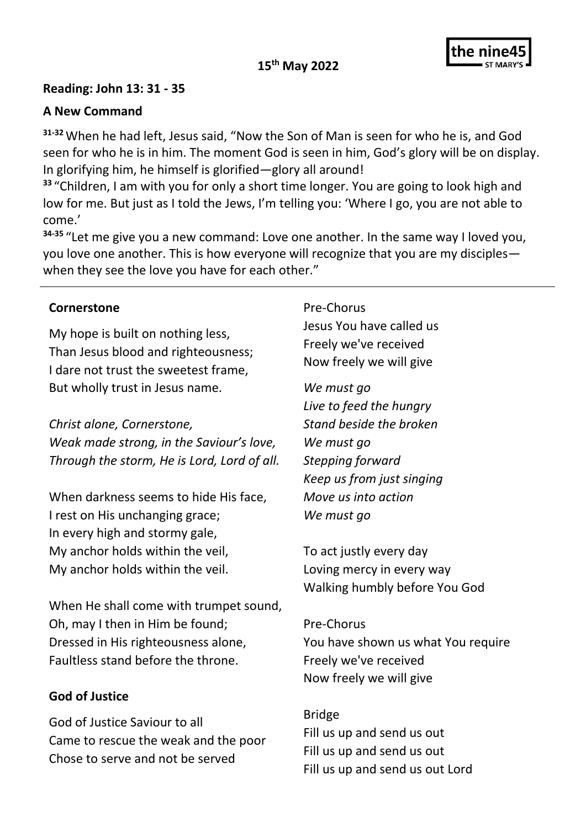## **15th May 2022**



## **Reading: John 13: 31 - 35**

## **A New Command**

**31-32**When he had left, Jesus said, "Now the Son of Man is seen for who he is, and God seen for who he is in him. The moment God is seen in him, God's glory will be on display. In glorifying him, he himself is glorified—glory all around!

**<sup>33</sup>** "Children, I am with you for only a short time longer. You are going to look high and low for me. But just as I told the Jews, I'm telling you: 'Where I go, you are not able to come.'

**34-35** "Let me give you a new command: Love one another. In the same way I loved you, you love one another. This is how everyone will recognize that you are my disciples when they see the love you have for each other."

#### **Cornerstone**

My hope is built on nothing less, Than Jesus blood and righteousness; I dare not trust the sweetest frame, But wholly trust in Jesus name.

*Christ alone, Cornerstone, Weak made strong, in the Saviour's love, Through the storm, He is Lord, Lord of all.*

When darkness seems to hide His face, I rest on His unchanging grace; In every high and stormy gale, My anchor holds within the veil, My anchor holds within the veil.

When He shall come with trumpet sound, Oh, may I then in Him be found; Dressed in His righteousness alone, Faultless stand before the throne.

# **God of Justice**

God of Justice Saviour to all Came to rescue the weak and the poor Chose to serve and not be served

Pre-Chorus Jesus You have called us

Freely we've received Now freely we will give

*We must go Live to feed the hungry Stand beside the broken We must go Stepping forward Keep us from just singing Move us into action We must go*

To act justly every day Loving mercy in every way Walking humbly before You God

Pre-Chorus You have shown us what You require Freely we've received Now freely we will give

Bridge Fill us up and send us out Fill us up and send us out Fill us up and send us out Lord